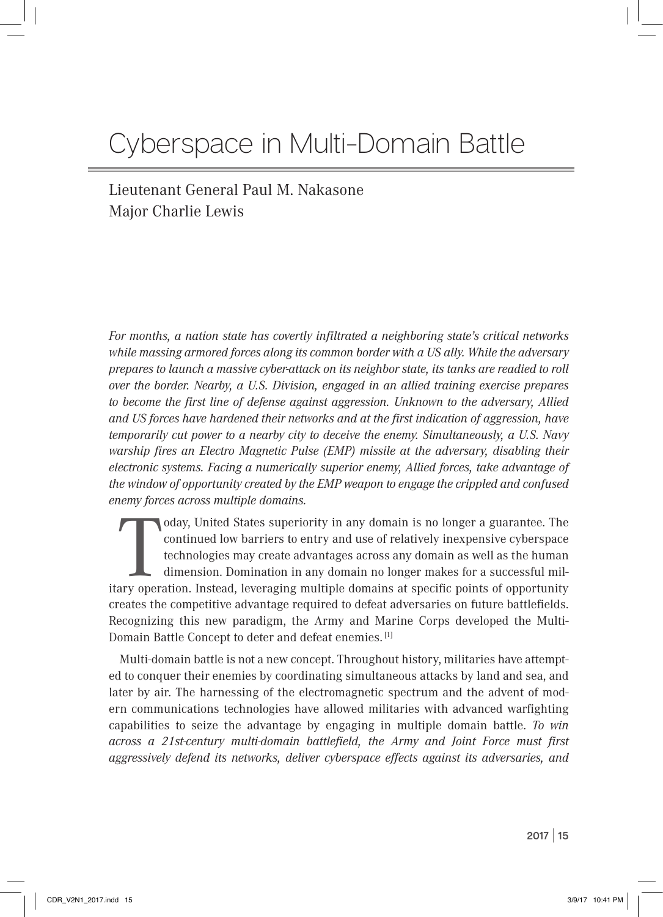# Cyberspace in Multi-Domain Battle

Lieutenant General Paul M. Nakasone Major Charlie Lewis

*For months, a nation state has covertly infiltrated a neighboring state's critical networks while massing armored forces along its common border with a US ally. While the adversary prepares to launch a massive cyber-attack on its neighbor state, its tanks are readied to roll over the border. Nearby, a U.S. Division, engaged in an allied training exercise prepares to become the first line of defense against aggression. Unknown to the adversary, Allied and US forces have hardened their networks and at the first indication of aggression, have temporarily cut power to a nearby city to deceive the enemy. Simultaneously, a U.S. Navy warship fires an Electro Magnetic Pulse (EMP) missile at the adversary, disabling their electronic systems. Facing a numerically superior enemy, Allied forces, take advantage of the window of opportunity created by the EMP weapon to engage the crippled and confused enemy forces across multiple domains.*

oday, United States superiority in any domain is no longer a guarantee. The continued low barriers to entry and use of relatively inexpensive cyberspace technologies may create advantages across any domain as well as the h oday, United States superiority in any domain is no longer a guarantee. The continued low barriers to entry and use of relatively inexpensive cyberspace technologies may create advantages across any domain as well as the human dimension. Domination in any domain no longer makes for a successful milcreates the competitive advantage required to defeat adversaries on future battlefields. Recognizing this new paradigm, the Army and Marine Corps developed the Multi-Domain Battle Concept to deter and defeat enemies. [1]

Multi-domain battle is not a new concept. Throughout history, militaries have attempted to conquer their enemies by coordinating simultaneous attacks by land and sea, and later by air. The harnessing of the electromagnetic spectrum and the advent of modern communications technologies have allowed militaries with advanced warfighting capabilities to seize the advantage by engaging in multiple domain battle. *To win across a 21st-century multi-domain battlefield, the Army and Joint Force must first aggressively defend its networks, deliver cyberspace effects against its adversaries, and*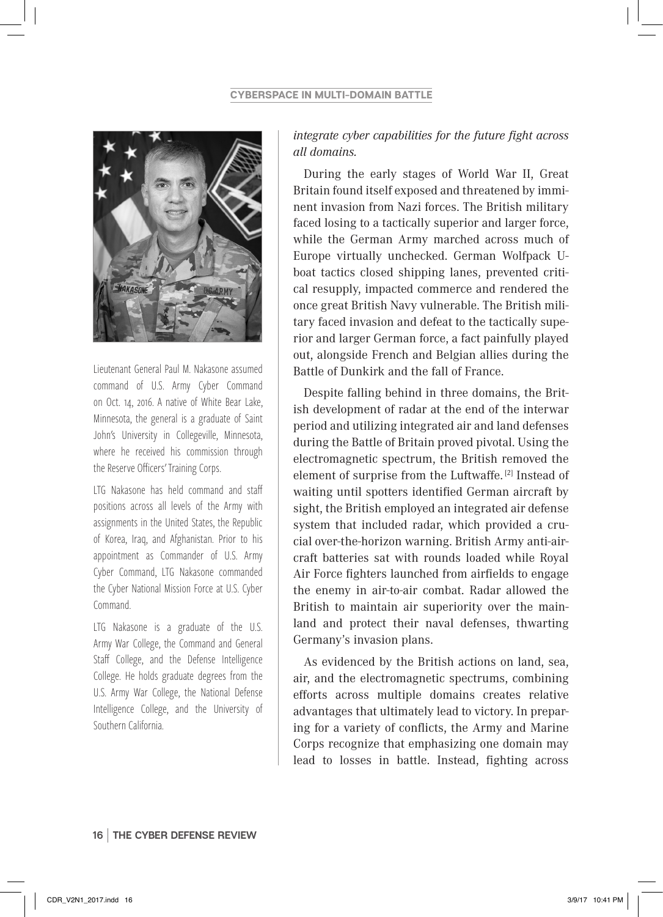

Lieutenant General Paul M. Nakasone assumed command of U.S. Army Cyber Command on Oct. 14, 2016. A native of White Bear Lake, Minnesota, the general is a graduate of Saint John's University in Collegeville, Minnesota, where he received his commission through the Reserve Officers' Training Corps.

LTG Nakasone has held command and staff positions across all levels of the Army with assignments in the United States, the Republic of Korea, Iraq, and Afghanistan. Prior to his appointment as Commander of U.S. Army Cyber Command, LTG Nakasone commanded the Cyber National Mission Force at U.S. Cyber Command.

LTG Nakasone is a graduate of the U.S. Army War College, the Command and General Staff College, and the Defense Intelligence College. He holds graduate degrees from the U.S. Army War College, the National Defense Intelligence College, and the University of Southern California.

## *integrate cyber capabilities for the future fight across all domains.*

During the early stages of World War II, Great Britain found itself exposed and threatened by imminent invasion from Nazi forces. The British military faced losing to a tactically superior and larger force, while the German Army marched across much of Europe virtually unchecked. German Wolfpack Uboat tactics closed shipping lanes, prevented critical resupply, impacted commerce and rendered the once great British Navy vulnerable. The British military faced invasion and defeat to the tactically superior and larger German force, a fact painfully played out, alongside French and Belgian allies during the Battle of Dunkirk and the fall of France.

Despite falling behind in three domains, the British development of radar at the end of the interwar period and utilizing integrated air and land defenses during the Battle of Britain proved pivotal. Using the electromagnetic spectrum, the British removed the element of surprise from the Luftwaffe.<sup>[2]</sup> Instead of waiting until spotters identified German aircraft by sight, the British employed an integrated air defense system that included radar, which provided a crucial over-the-horizon warning. British Army anti-aircraft batteries sat with rounds loaded while Royal Air Force fighters launched from airfields to engage the enemy in air-to-air combat. Radar allowed the British to maintain air superiority over the mainland and protect their naval defenses, thwarting Germany's invasion plans.

As evidenced by the British actions on land, sea, air, and the electromagnetic spectrums, combining efforts across multiple domains creates relative advantages that ultimately lead to victory. In preparing for a variety of conflicts, the Army and Marine Corps recognize that emphasizing one domain may lead to losses in battle. Instead, fighting across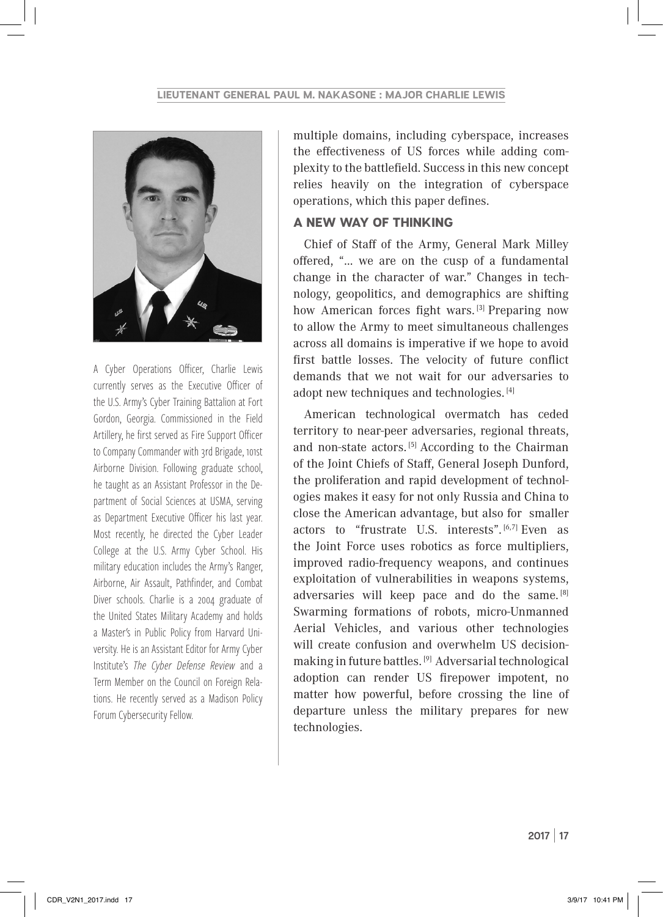

A Cyber Operations Officer, Charlie Lewis currently serves as the Executive Officer of the U.S. Army's Cyber Training Battalion at Fort Gordon, Georgia. Commissioned in the Field Artillery, he first served as Fire Support Officer to Company Commander with 3rd Brigade, 101st Airborne Division. Following graduate school, he taught as an Assistant Professor in the Department of Social Sciences at USMA, serving as Department Executive Officer his last year. Most recently, he directed the Cyber Leader College at the U.S. Army Cyber School. His military education includes the Army's Ranger, Airborne, Air Assault, Pathfinder, and Combat Diver schools. Charlie is a 2004 graduate of the United States Military Academy and holds a Master's in Public Policy from Harvard University. He is an Assistant Editor for Army Cyber Institute's *The Cyber Defense Review* and a Term Member on the Council on Foreign Relations. He recently served as a Madison Policy Forum Cybersecurity Fellow.

multiple domains, including cyberspace, increases the effectiveness of US forces while adding complexity to the battlefield. Success in this new concept relies heavily on the integration of cyberspace operations, which this paper defines.

## A NEW WAY OF THINKING

Chief of Staff of the Army, General Mark Milley offered, "… we are on the cusp of a fundamental change in the character of war." Changes in technology, geopolitics, and demographics are shifting how American forces fight wars.<sup>[3]</sup> Preparing now to allow the Army to meet simultaneous challenges across all domains is imperative if we hope to avoid first battle losses. The velocity of future conflict demands that we not wait for our adversaries to adopt new techniques and technologies. [4]

American technological overmatch has ceded territory to near-peer adversaries, regional threats, and non-state actors.<sup>[5]</sup> According to the Chairman of the Joint Chiefs of Staff, General Joseph Dunford, the proliferation and rapid development of technologies makes it easy for not only Russia and China to close the American advantage, but also for smaller actors to "frustrate U.S. interests". [6,7] Even as the Joint Force uses robotics as force multipliers, improved radio-frequency weapons, and continues exploitation of vulnerabilities in weapons systems, adversaries will keep pace and do the same. [8] Swarming formations of robots, micro-Unmanned Aerial Vehicles, and various other technologies will create confusion and overwhelm US decisionmaking in future battles. [9] Adversarial technological adoption can render US firepower impotent, no matter how powerful, before crossing the line of departure unless the military prepares for new technologies.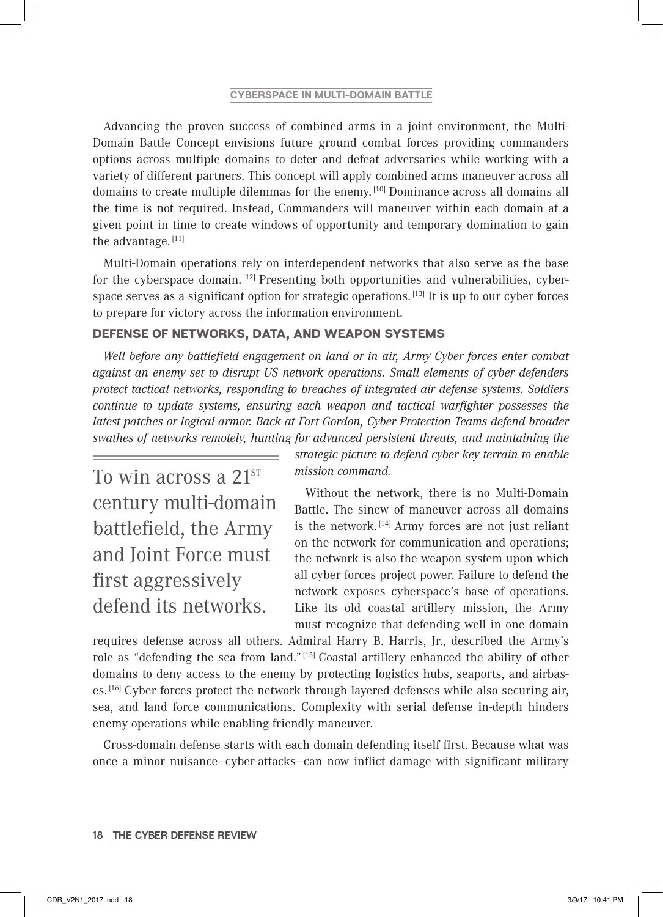#### **CYBERSPACE IN MULTI-DOMAIN BATTLE**

Advancing the proven success of combined arms in a joint environment, the Multi-Domain Battle Concept envisions future ground combat forces providing commanders options across multiple domains to deter and defeat adversaries while working with a variety of different partners. This concept will apply combined arms maneuver across all domains to create multiple dilemmas for the enemy. [10] Dominance across all domains all the time is not required. Instead, Commanders will maneuver within each domain at a given point in time to create windows of opportunity and temporary domination to gain the advantage. [11]

Multi-Domain operations rely on interdependent networks that also serve as the base for the cyberspace domain.  $[12]$  Presenting both opportunities and vulnerabilities, cyberspace serves as a significant option for strategic operations. [13] It is up to our cyber forces to prepare for victory across the information environment.

# DEFENSE OF NETWORKS, DATA, AND WEAPON SYSTEMS

*Well before any battlefield engagement on land or in air, Army Cyber forces enter combat against an enemy set to disrupt US network operations. Small elements of cyber defenders protect tactical networks, responding to breaches of integrated air defense systems. Soldiers continue to update systems, ensuring each weapon and tactical warfighter possesses the latest patches or logical armor. Back at Fort Gordon, Cyber Protection Teams defend broader swathes of networks remotely, hunting for advanced persistent threats, and maintaining the* 

To win across a 21<sup>st</sup> century multi-domain battlefield, the Army and Joint Force must first aggressively defend its networks.

*strategic picture to defend cyber key terrain to enable mission command.*

Without the network, there is no Multi-Domain Battle. The sinew of maneuver across all domains is the network.  $[14]$  Army forces are not just reliant on the network for communication and operations; the network is also the weapon system upon which all cyber forces project power. Failure to defend the network exposes cyberspace's base of operations. Like its old coastal artillery mission, the Army must recognize that defending well in one domain

requires defense across all others. Admiral Harry B. Harris, Jr., described the Army's role as "defending the sea from land."<sup>[15]</sup> Coastal artillery enhanced the ability of other domains to deny access to the enemy by protecting logistics hubs, seaports, and airbases. [16] Cyber forces protect the network through layered defenses while also securing air, sea, and land force communications. Complexity with serial defense in-depth hinders enemy operations while enabling friendly maneuver.

Cross-domain defense starts with each domain defending itself first. Because what was once a minor nuisance—cyber-attacks—can now inflict damage with significant military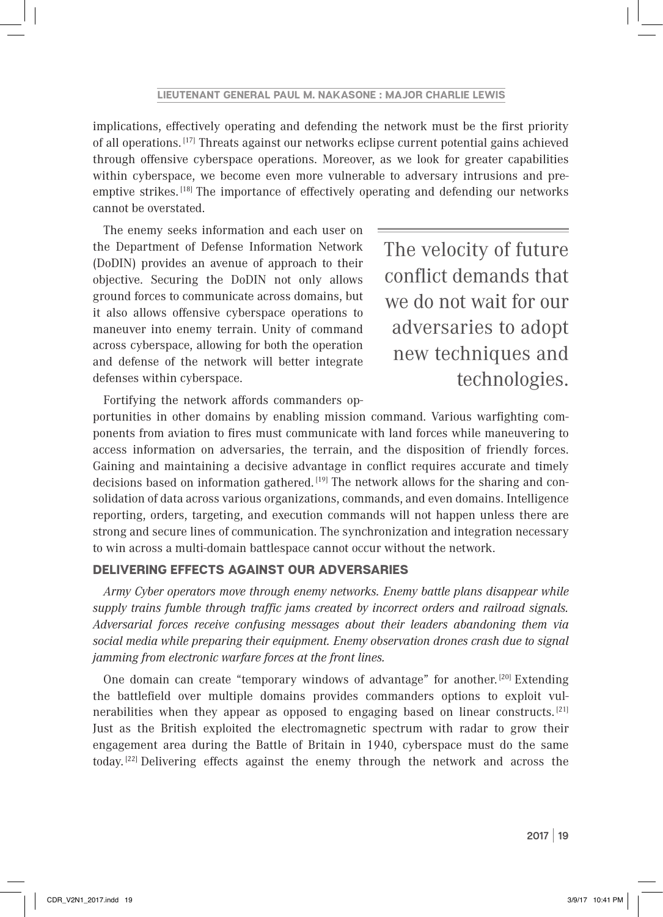implications, effectively operating and defending the network must be the first priority of all operations. [17] Threats against our networks eclipse current potential gains achieved through offensive cyberspace operations. Moreover, as we look for greater capabilities within cyberspace, we become even more vulnerable to adversary intrusions and preemptive strikes. [18] The importance of effectively operating and defending our networks cannot be overstated.

The enemy seeks information and each user on the Department of Defense Information Network (DoDIN) provides an avenue of approach to their objective. Securing the DoDIN not only allows ground forces to communicate across domains, but it also allows offensive cyberspace operations to maneuver into enemy terrain. Unity of command across cyberspace, allowing for both the operation and defense of the network will better integrate defenses within cyberspace.

The velocity of future conflict demands that we do not wait for our adversaries to adopt new techniques and technologies.

Fortifying the network affords commanders op-

portunities in other domains by enabling mission command. Various warfighting components from aviation to fires must communicate with land forces while maneuvering to access information on adversaries, the terrain, and the disposition of friendly forces. Gaining and maintaining a decisive advantage in conflict requires accurate and timely decisions based on information gathered.  $[19]$  The network allows for the sharing and consolidation of data across various organizations, commands, and even domains. Intelligence reporting, orders, targeting, and execution commands will not happen unless there are strong and secure lines of communication. The synchronization and integration necessary to win across a multi-domain battlespace cannot occur without the network.

## DELIVERING EFFECTS AGAINST OUR ADVERSARIES

*Army Cyber operators move through enemy networks. Enemy battle plans disappear while supply trains fumble through traffic jams created by incorrect orders and railroad signals. Adversarial forces receive confusing messages about their leaders abandoning them via social media while preparing their equipment. Enemy observation drones crash due to signal jamming from electronic warfare forces at the front lines.*

One domain can create "temporary windows of advantage" for another.  $[20]$  Extending the battlefield over multiple domains provides commanders options to exploit vulnerabilities when they appear as opposed to engaging based on linear constructs. [21] Just as the British exploited the electromagnetic spectrum with radar to grow their engagement area during the Battle of Britain in 1940, cyberspace must do the same today. [22] Delivering effects against the enemy through the network and across the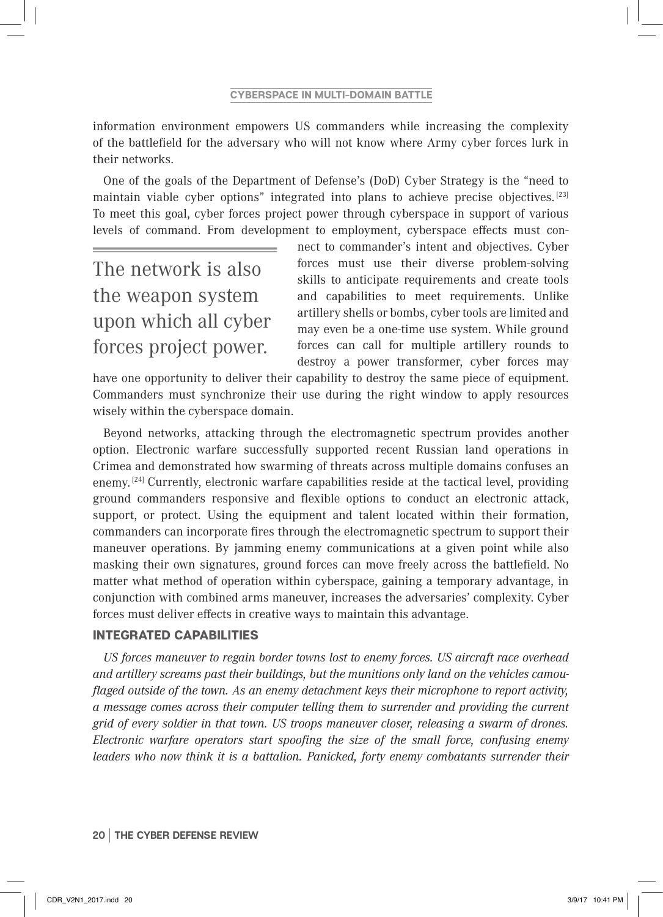information environment empowers US commanders while increasing the complexity of the battlefield for the adversary who will not know where Army cyber forces lurk in their networks.

One of the goals of the Department of Defense's (DoD) Cyber Strategy is the "need to maintain viable cyber options" integrated into plans to achieve precise objectives. [23] To meet this goal, cyber forces project power through cyberspace in support of various levels of command. From development to employment, cyberspace effects must con-

The network is also the weapon system upon which all cyber forces project power.

nect to commander's intent and objectives. Cyber forces must use their diverse problem-solving skills to anticipate requirements and create tools and capabilities to meet requirements. Unlike artillery shells or bombs, cyber tools are limited and may even be a one-time use system. While ground forces can call for multiple artillery rounds to destroy a power transformer, cyber forces may

have one opportunity to deliver their capability to destroy the same piece of equipment. Commanders must synchronize their use during the right window to apply resources wisely within the cyberspace domain.

Beyond networks, attacking through the electromagnetic spectrum provides another option. Electronic warfare successfully supported recent Russian land operations in Crimea and demonstrated how swarming of threats across multiple domains confuses an enemy. <sup>[24]</sup> Currently, electronic warfare capabilities reside at the tactical level, providing ground commanders responsive and flexible options to conduct an electronic attack, support, or protect. Using the equipment and talent located within their formation, commanders can incorporate fires through the electromagnetic spectrum to support their maneuver operations. By jamming enemy communications at a given point while also masking their own signatures, ground forces can move freely across the battlefield. No matter what method of operation within cyberspace, gaining a temporary advantage, in conjunction with combined arms maneuver, increases the adversaries' complexity. Cyber forces must deliver effects in creative ways to maintain this advantage.

## INTEGRATED CAPABILITIES

*US forces maneuver to regain border towns lost to enemy forces. US aircra# race overhead and artillery screams past their buildings, but the munitions only land on the vehicles camouflaged outside of the town. As an enemy detachment keys their microphone to report activity, a message comes across their computer telling them to surrender and providing the current grid of every soldier in that town. US troops maneuver closer, releasing a swarm of drones. Electronic warfare operators start spoofing the size of the small force, confusing enemy leaders who now think it is a battalion. Panicked, forty enemy combatants surrender their*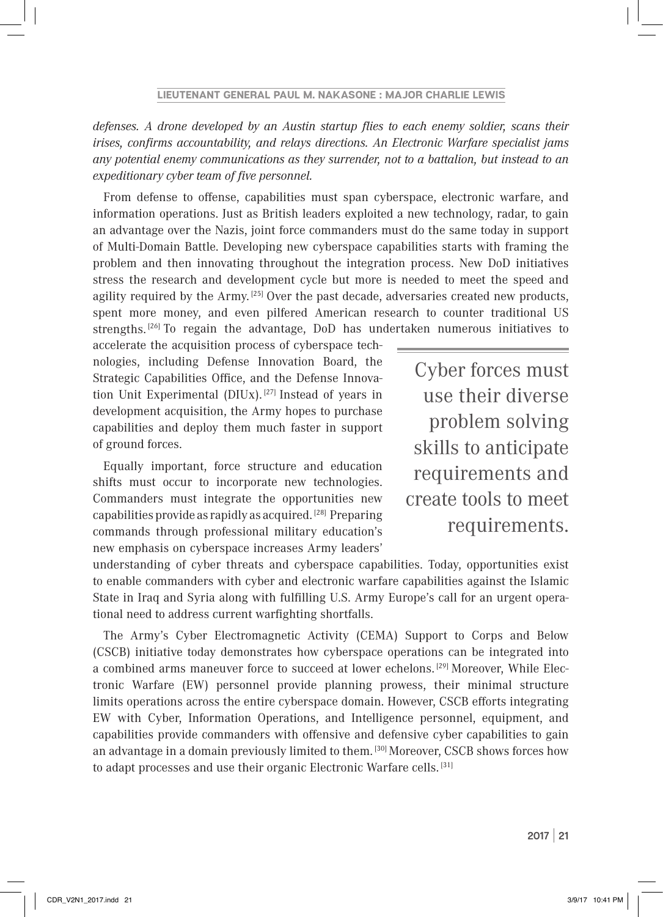*defenses. A drone developed by an Austin startup flies to each enemy soldier, scans their irises, confirms accountability, and relays directions. An Electronic Warfare specialist jams any potential enemy communications as they surrender, not to a battalion, but instead to an expeditionary cyber team of five personnel.* 

From defense to offense, capabilities must span cyberspace, electronic warfare, and information operations. Just as British leaders exploited a new technology, radar, to gain an advantage over the Nazis, joint force commanders must do the same today in support of Multi-Domain Battle. Developing new cyberspace capabilities starts with framing the problem and then innovating throughout the integration process. New DoD initiatives stress the research and development cycle but more is needed to meet the speed and agility required by the Army.  $[25]$  Over the past decade, adversaries created new products, spent more money, and even pilfered American research to counter traditional US strengths.<sup>[26]</sup> To regain the advantage, DoD has undertaken numerous initiatives to

accelerate the acquisition process of cyberspace technologies, including Defense Innovation Board, the Strategic Capabilities Office, and the Defense Innovation Unit Experimental (DIUx).  $[27]$  Instead of years in development acquisition, the Army hopes to purchase capabilities and deploy them much faster in support of ground forces.

Equally important, force structure and education shifts must occur to incorporate new technologies. Commanders must integrate the opportunities new capabilities provide as rapidly as acquired. [28] Preparing commands through professional military education's new emphasis on cyberspace increases Army leaders'

Cyber forces must use their diverse problem solving skills to anticipate requirements and create tools to meet requirements.

understanding of cyber threats and cyberspace capabilities. Today, opportunities exist to enable commanders with cyber and electronic warfare capabilities against the Islamic State in Iraq and Syria along with fulfilling U.S. Army Europe's call for an urgent operational need to address current warfighting shortfalls.

The Army's Cyber Electromagnetic Activity (CEMA) Support to Corps and Below (CSCB) initiative today demonstrates how cyberspace operations can be integrated into a combined arms maneuver force to succeed at lower echelons. [29] Moreover, While Electronic Warfare (EW) personnel provide planning prowess, their minimal structure limits operations across the entire cyberspace domain. However, CSCB efforts integrating EW with Cyber, Information Operations, and Intelligence personnel, equipment, and capabilities provide commanders with offensive and defensive cyber capabilities to gain an advantage in a domain previously limited to them. [30] Moreover, CSCB shows forces how to adapt processes and use their organic Electronic Warfare cells. [31]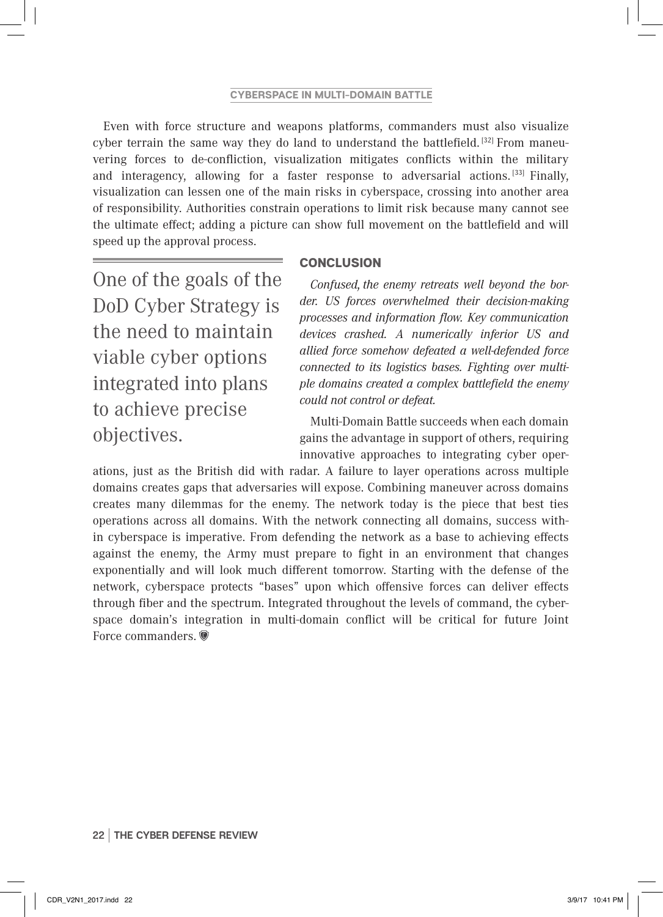Even with force structure and weapons platforms, commanders must also visualize cyber terrain the same way they do land to understand the battlefield.  $[32]$  From maneuvering forces to de-confliction, visualization mitigates conflicts within the military and interagency, allowing for a faster response to adversarial actions.  $[33]$  Finally, visualization can lessen one of the main risks in cyberspace, crossing into another area of responsibility. Authorities constrain operations to limit risk because many cannot see the ultimate effect; adding a picture can show full movement on the battlefield and will speed up the approval process.

**CONCLUSION** 

One of the goals of the DoD Cyber Strategy is the need to maintain viable cyber options integrated into plans to achieve precise objectives.

*Confused, the enemy retreats well beyond the border. US forces overwhelmed their decision-making processes and information flow. Key communication devices crashed. A numerically inferior US and allied force somehow defeated a well-defended force connected to its logistics bases. Fighting over multiple domains created a complex battlefield the enemy could not control or defeat.*

Multi-Domain Battle succeeds when each domain gains the advantage in support of others, requiring innovative approaches to integrating cyber oper-

ations, just as the British did with radar. A failure to layer operations across multiple domains creates gaps that adversaries will expose. Combining maneuver across domains creates many dilemmas for the enemy. The network today is the piece that best ties operations across all domains. With the network connecting all domains, success within cyberspace is imperative. From defending the network as a base to achieving effects against the enemy, the Army must prepare to fight in an environment that changes exponentially and will look much different tomorrow. Starting with the defense of the network, cyberspace protects "bases" upon which offensive forces can deliver effects through fiber and the spectrum. Integrated throughout the levels of command, the cyberspace domain's integration in multi-domain conflict will be critical for future Joint Force commanders.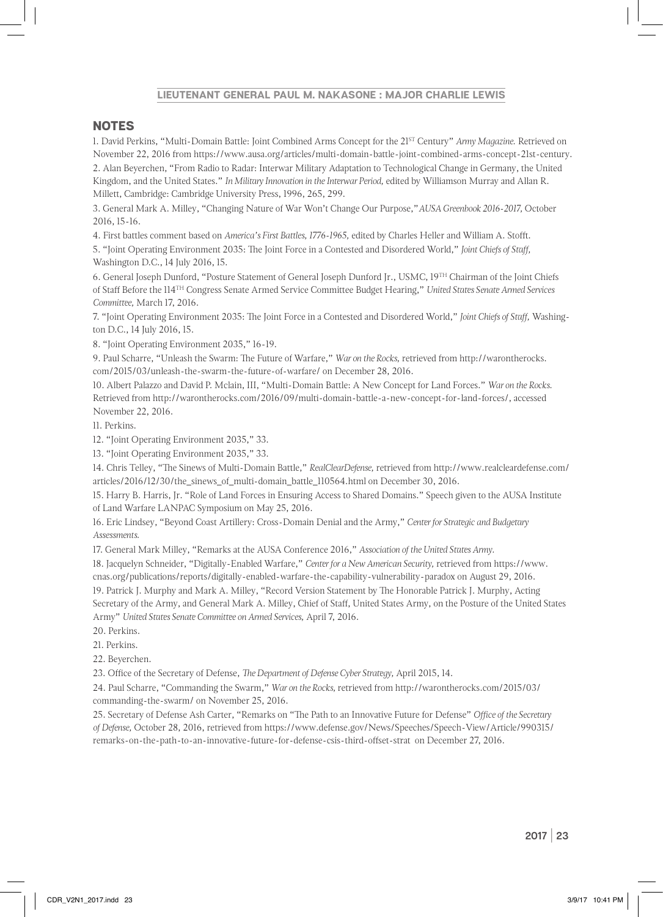#### **LIEUTENANT GENERAL PAUL M. NAKASONE : MAJOR CHARLIE LEWIS**

#### **NOTES**

1. David Perkins, "Mult-Domain Batle: Joint Combined Arms Concept for the 21ST Century" *Army Magazine.* Retieved on November 22, 2016 fom htps://www.ausa.org/artcles/mult-domain-batle-joint-combined-arms-concept-21st-century.

2. Alan Beyerchen, "From Radio to Radar: Interwar Military Adaptaton to Technological Change in Germany, the United Kingdom, and the United States." *In Militry Innovaton in the Intrwar Period,* edited by Williamson Murray and Allan R. Millett, Cambridge: Cambridge University Press, 1996, 265, 299.

3. General Mark A. Milley, "Changing Nature of War Won't Change Our Purpose,"*AUSA Greenbook 2016-2017,* October 2016, 15-16.

4. First battles comment based on *America's First Battles, 1776-1965*, edited by Charles Heller and William A. Stofft.

5. "Joint Operatng Environment 2035: Te Joint Force in a Contested and Disordered World," *Joint Chiefs of Stf,*  Washington D.C., 14 July 2016, 15.

6. General Joseph Dunford, "Posture Statement of General Joseph Dunford Jr., USMC, 19TH Chairman of the Joint Chiefs of Staf Before the 114TH Congress Senate Armed Service Commitee Budget Hearing," *Unitd Stts Senat Armed Services Commite,* March 17, 2016.

7. "Joint Operating Environment 2035: The Joint Force in a Contested and Disordered World," *Joint Chiefs of Staff*, Washington D.C., 14 July 2016, 15.

8. "Joint Operatng Environment 2035," 16-19.

9. Paul Scharre, "Unleash the Swarm: The Future of Warfare," *War on the Rocks*, retrieved from http://warontherocks. com/2015/03/unleash-the-swarm-the-future-of-warfare/ on December 28, 2016.

10. Albert Palazzo and David P. Mclain, III, "Mult-Domain Batle: A New Concept for Land Forces." *War on the Rocks.* Retieved fom htp://warontherocks.com/2016/09/mult-domain-batle-a-new-concept-for-land-forces/, accessed November 22, 2016.

11. Perkins.

12. "Joint Operating Environment 2035," 33.

13. "Joint Operating Environment 2035," 33.

14. Chris Telley, "Te Sinews of Mult-Domain Batle," *RealClearDefense,* retieved fom htp://www.realcleardefense.com/ articles/2016/12/30/the\_sinews\_of\_multi-domain\_battle\_110564.html on December 30, 2016.

15. Harry B. Harris, Jr. "Role of Land Forces in Ensuring Access to Shared Domains." Speech given to the AUSA Insttute of Land Warfare LANPAC Symposium on May 25, 2016.

16. Eric Lindsey, "Beyond Coast Artllery: Cross-Domain Denial and the Army," *Centr for Statgic and Budgetry Assessments.*

17. General Mark Milley, "Remarks at the AUSA Conference 2016," *Associaton of the Unitd Stts Army.*

18. Jacquelyn Schneider, "Digitally-Enabled Warfare," *Centr for a New American Securit,* retieved fom htps://www. cnas.org/publications/reports/digitally-enabled-warfare-the-capability-vulnerability-paradox on August 29, 2016.

19. Patrick J. Murphy and Mark A. Milley, "Record Version Statement by The Honorable Patrick J. Murphy, Acting Secretary of the Army, and General Mark A. Milley, Chief of Staf, United States Army, on the Posture of the United States Army" *Unitd Stts Senat Commite on Armed Services,* April 7, 2016.

- 20. Perkins.
- 21. Perkins.

22. Beyerchen.

23. Office of the Secretary of Defense, *The Department of Defense Cyber Strategy*, *April 2015*, 14.

24. Paul Scharre, "Commanding the Swarm," *War on the Rocks,* retieved fom htp://warontherocks.com/2015/03/ commanding-the-swarm/ on November 25, 2016.

25. Secretary of Defense Ash Carter, "Remarks on "Te Path to an Innovatve Future for Defense" *Ofce of the Secretry of Defense,* October 28, 2016, retieved fom htps://www.defense.gov/News/Speeches/Speech-View/Artcle/990315/ remarks-on-the-path-to-an-innovatve-future-for-defense-csis-third-ofset-stat on December 27, 2016.